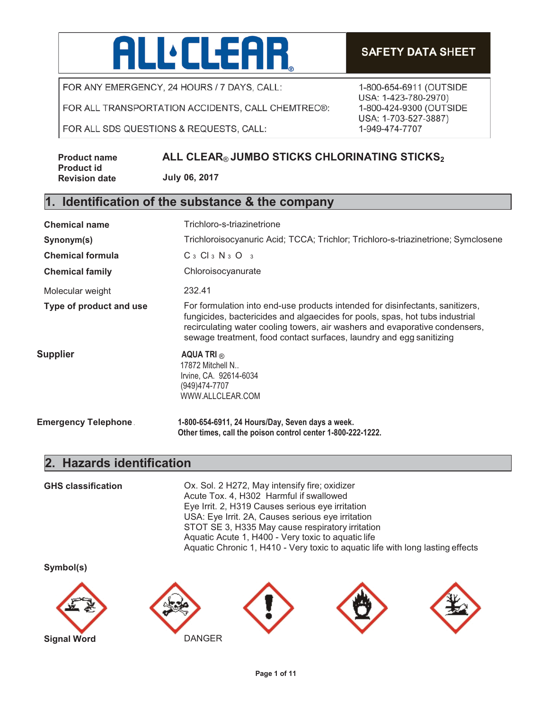# **ALL:CLEAR**

FOR ANY EMERGENCY, 24 HOURS / 7 DAYS, CALL:

FOR ALL TRANSPORTATION ACCIDENTS, CALL CHEMTREC®:

FOR ALL SDS QUESTIONS & REQUESTS, CALL:

**Product name Product id Revision date**

# **ALL CLEAR® JUMBO STICKS CHLORINATING STICKS2**

**July 06, 2017**

# **1. Identification of the substance & the company**

| <b>Chemical name</b>    | Trichloro-s-triazinetrione                                                                                                                                                                                                                                                                                          |  |  |
|-------------------------|---------------------------------------------------------------------------------------------------------------------------------------------------------------------------------------------------------------------------------------------------------------------------------------------------------------------|--|--|
| Synonym(s)              | Trichloroisocyanuric Acid; TCCA; Trichlor; Trichloro-s-triazinetrione; Symclosene                                                                                                                                                                                                                                   |  |  |
| <b>Chemical formula</b> | $C_3$ $Cl_3$ $N_3$ $O_3$                                                                                                                                                                                                                                                                                            |  |  |
| <b>Chemical family</b>  | Chloroisocyanurate                                                                                                                                                                                                                                                                                                  |  |  |
| Molecular weight        | 232.41                                                                                                                                                                                                                                                                                                              |  |  |
| Type of product and use | For formulation into end-use products intended for disinfectants, sanitizers,<br>fungicides, bactericides and algaecides for pools, spas, hot tubs industrial<br>recirculating water cooling towers, air washers and evaporative condensers,<br>sewage treatment, food contact surfaces, laundry and egg sanitizing |  |  |
| Supplier                | AQUA TRI $_{\odot}$<br>17872 Mitchell N<br>Irvine, CA. 92614-6034<br>(949)474-7707<br>WWW.ALLCLEAR.COM                                                                                                                                                                                                              |  |  |
| Emergency Telephone .   | 1-800-654-6911, 24 Hours/Day, Seven days a week.<br>Other times, call the poison control center 1-800-222-1222.                                                                                                                                                                                                     |  |  |

## **2. Hazards identification**

**GHS classification** Ox. Sol. 2 H272, May intensify fire; oxidizer Acute Tox. 4, H302 Harmful if swallowed Eye Irrit. 2, H319 Causes serious eye irritation USA: Eye Irrit. 2A, Causes serious eye irritation STOT SE 3, H335 May cause respiratory irritation Aquatic Acute 1, H400 - Very toxic to aquatic life Aquatic Chronic 1, H410 - Very toxic to aquatic life with long lasting effects

**Symbol(s)**











# **SAFETY DATA SHEET**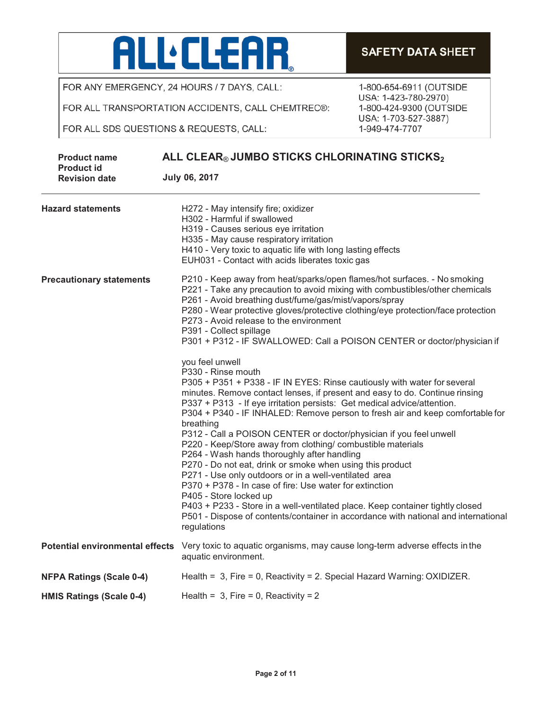

FOR ALL TRANSPORTATION ACCIDENTS, CALL CHEMTREC®:

FOR ALL SDS QUESTIONS & REQUESTS, CALL:

| <b>Product name</b>                       | ALL CLEAR® JUMBO STICKS CHLORINATING STICKS2<br><b>July 06, 2017</b>                                                                                                                                                                                                                                                                                                                                                                                                                                                                                                                                                                                                                                                                                                                                                                                                                                                                                           |  |  |
|-------------------------------------------|----------------------------------------------------------------------------------------------------------------------------------------------------------------------------------------------------------------------------------------------------------------------------------------------------------------------------------------------------------------------------------------------------------------------------------------------------------------------------------------------------------------------------------------------------------------------------------------------------------------------------------------------------------------------------------------------------------------------------------------------------------------------------------------------------------------------------------------------------------------------------------------------------------------------------------------------------------------|--|--|
| <b>Product id</b><br><b>Revision date</b> |                                                                                                                                                                                                                                                                                                                                                                                                                                                                                                                                                                                                                                                                                                                                                                                                                                                                                                                                                                |  |  |
| <b>Hazard statements</b>                  | H272 - May intensify fire; oxidizer<br>H302 - Harmful if swallowed<br>H319 - Causes serious eye irritation<br>H335 - May cause respiratory irritation<br>H410 - Very toxic to aquatic life with long lasting effects<br>EUH031 - Contact with acids liberates toxic gas                                                                                                                                                                                                                                                                                                                                                                                                                                                                                                                                                                                                                                                                                        |  |  |
| <b>Precautionary statements</b>           | P210 - Keep away from heat/sparks/open flames/hot surfaces. - No smoking<br>P221 - Take any precaution to avoid mixing with combustibles/other chemicals<br>P261 - Avoid breathing dust/fume/gas/mist/vapors/spray<br>P280 - Wear protective gloves/protective clothing/eye protection/face protection<br>P273 - Avoid release to the environment<br>P391 - Collect spillage<br>P301 + P312 - IF SWALLOWED: Call a POISON CENTER or doctor/physician if                                                                                                                                                                                                                                                                                                                                                                                                                                                                                                        |  |  |
|                                           | you feel unwell<br>P330 - Rinse mouth<br>P305 + P351 + P338 - IF IN EYES: Rinse cautiously with water for several<br>minutes. Remove contact lenses, if present and easy to do. Continue rinsing<br>P337 + P313 - If eye irritation persists: Get medical advice/attention.<br>P304 + P340 - IF INHALED: Remove person to fresh air and keep comfortable for<br>breathing<br>P312 - Call a POISON CENTER or doctor/physician if you feel unwell<br>P220 - Keep/Store away from clothing/ combustible materials<br>P264 - Wash hands thoroughly after handling<br>P270 - Do not eat, drink or smoke when using this product<br>P271 - Use only outdoors or in a well-ventilated area<br>P370 + P378 - In case of fire: Use water for extinction<br>P405 - Store locked up<br>P403 + P233 - Store in a well-ventilated place. Keep container tightly closed<br>P501 - Dispose of contents/container in accordance with national and international<br>regulations |  |  |
| <b>Potential environmental effects</b>    | Very toxic to aquatic organisms, may cause long-term adverse effects in the<br>aquatic environment.                                                                                                                                                                                                                                                                                                                                                                                                                                                                                                                                                                                                                                                                                                                                                                                                                                                            |  |  |
| <b>NFPA Ratings (Scale 0-4)</b>           | Health = $3$ , Fire = 0, Reactivity = 2. Special Hazard Warning: OXIDIZER.                                                                                                                                                                                                                                                                                                                                                                                                                                                                                                                                                                                                                                                                                                                                                                                                                                                                                     |  |  |
| <b>HMIS Ratings (Scale 0-4)</b>           | Health = $3$ , Fire = 0, Reactivity = 2                                                                                                                                                                                                                                                                                                                                                                                                                                                                                                                                                                                                                                                                                                                                                                                                                                                                                                                        |  |  |

1-800-654-6911 (OUTSIDE USA: 1-423-780-2970) 1-800-424-9300 (OUTSIDE

**SAFETY DATA SHEET** 

USA: 1-703-527-3887)

1-949-474-7707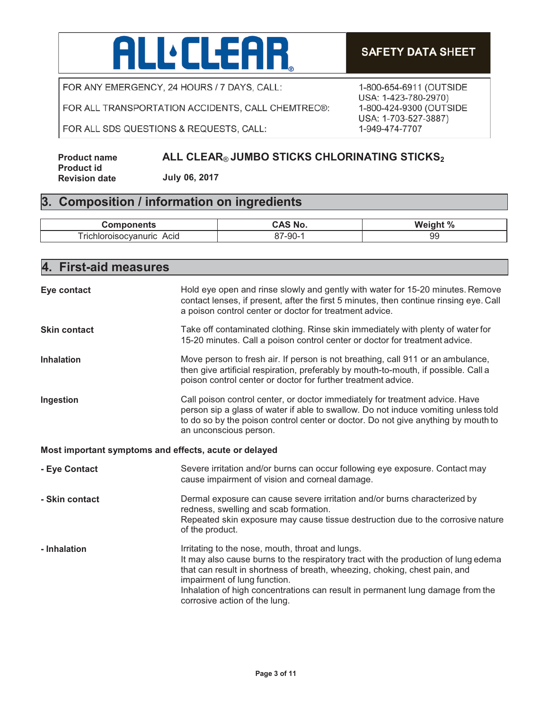# ALL'ELEAR

FOR ANY EMERGENCY, 24 HOURS / 7 DAYS, CALL:

FOR ALL TRANSPORTATION ACCIDENTS, CALL CHEMTREC®:

FOR ALL SDS QUESTIONS & REQUESTS, CALL:

## **SAFETY DATA SHEET**

1-800-654-6911 (OUTSIDE USA: 1-423-780-2970) 1-800-424-9300 (OUTSIDE USA: 1-703-527-3887) 1-949-474-7707

| Product name         | ALL CLEAR® JUMBO STICKS CHLORINATING STICKS2 |
|----------------------|----------------------------------------------|
| Product id           |                                              |
| <b>Revision date</b> | July 06, 2017                                |

# **3. Composition / information on ingredients**

| . <b>.</b> .<br>nents                                           | N0    | W<br>$\cdot$ 0/<br>70 |
|-----------------------------------------------------------------|-------|-----------------------|
| --<br><b>TICI</b><br>Acid<br>$-$<br>nuric<br>ncva.<br>пюг<br>ж. | '-90- | ۵c<br>ອະ              |

| 4. First-aid measures                                 |                                                                                                                                                                                                                                                                                                                                                                         |  |
|-------------------------------------------------------|-------------------------------------------------------------------------------------------------------------------------------------------------------------------------------------------------------------------------------------------------------------------------------------------------------------------------------------------------------------------------|--|
| Eye contact                                           | Hold eye open and rinse slowly and gently with water for 15-20 minutes. Remove<br>contact lenses, if present, after the first 5 minutes, then continue rinsing eye. Call<br>a poison control center or doctor for treatment advice.                                                                                                                                     |  |
| <b>Skin contact</b>                                   | Take off contaminated clothing. Rinse skin immediately with plenty of water for<br>15-20 minutes. Call a poison control center or doctor for treatment advice.                                                                                                                                                                                                          |  |
| <b>Inhalation</b>                                     | Move person to fresh air. If person is not breathing, call 911 or an ambulance,<br>then give artificial respiration, preferably by mouth-to-mouth, if possible. Call a<br>poison control center or doctor for further treatment advice.                                                                                                                                 |  |
| Ingestion                                             | Call poison control center, or doctor immediately for treatment advice. Have<br>person sip a glass of water if able to swallow. Do not induce vomiting unless told<br>to do so by the poison control center or doctor. Do not give anything by mouth to<br>an unconscious person.                                                                                       |  |
| Most important symptoms and effects, acute or delayed |                                                                                                                                                                                                                                                                                                                                                                         |  |
| - Eye Contact                                         | Severe irritation and/or burns can occur following eye exposure. Contact may<br>cause impairment of vision and corneal damage.                                                                                                                                                                                                                                          |  |
| - Skin contact                                        | Dermal exposure can cause severe irritation and/or burns characterized by<br>redness, swelling and scab formation.<br>Repeated skin exposure may cause tissue destruction due to the corrosive nature<br>of the product.                                                                                                                                                |  |
| - Inhalation                                          | Irritating to the nose, mouth, throat and lungs.<br>It may also cause burns to the respiratory tract with the production of lung edema<br>that can result in shortness of breath, wheezing, choking, chest pain, and<br>impairment of lung function.<br>Inhalation of high concentrations can result in permanent lung damage from the<br>corrosive action of the lung. |  |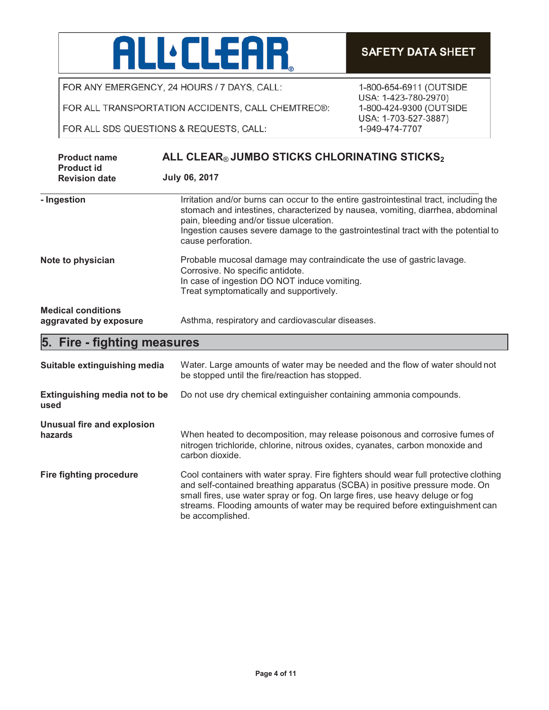

FOR ALL TRANSPORTATION ACCIDENTS, CALL CHEMTREC®:

FOR ALL SDS QUESTIONS & REQUESTS, CALL:

| <b>Product name</b>                                 | ALL CLEAR® JUMBO STICKS CHLORINATING STICKS <sub>2</sub>                                                                                                                                                                                                                                                                        |  |
|-----------------------------------------------------|---------------------------------------------------------------------------------------------------------------------------------------------------------------------------------------------------------------------------------------------------------------------------------------------------------------------------------|--|
| <b>Product id</b><br><b>Revision date</b>           | <b>July 06, 2017</b>                                                                                                                                                                                                                                                                                                            |  |
| - Ingestion                                         | Irritation and/or burns can occur to the entire gastrointestinal tract, including the<br>stomach and intestines, characterized by nausea, vomiting, diarrhea, abdominal<br>pain, bleeding and/or tissue ulceration.<br>Ingestion causes severe damage to the gastrointestinal tract with the potential to<br>cause perforation. |  |
| Note to physician                                   | Probable mucosal damage may contraindicate the use of gastric lavage.<br>Corrosive. No specific antidote.<br>In case of ingestion DO NOT induce vomiting.<br>Treat symptomatically and supportively.                                                                                                                            |  |
| <b>Medical conditions</b><br>aggravated by exposure | Asthma, respiratory and cardiovascular diseases.                                                                                                                                                                                                                                                                                |  |
| 5. Fire - fighting measures                         |                                                                                                                                                                                                                                                                                                                                 |  |
| Suitable extinguishing media                        | Water. Large amounts of water may be needed and the flow of water should not                                                                                                                                                                                                                                                    |  |

|                                       | be stopped until the fire/reaction has stopped.                                                                                                                                                                                                                                                                                                         |
|---------------------------------------|---------------------------------------------------------------------------------------------------------------------------------------------------------------------------------------------------------------------------------------------------------------------------------------------------------------------------------------------------------|
| Extinguishing media not to be<br>used | Do not use dry chemical extinguisher containing ammonia compounds.                                                                                                                                                                                                                                                                                      |
| Unusual fire and explosion<br>hazards | When heated to decomposition, may release poisonous and corrosive fumes of<br>nitrogen trichloride, chlorine, nitrous oxides, cyanates, carbon monoxide and<br>carbon dioxide.                                                                                                                                                                          |
| <b>Fire fighting procedure</b>        | Cool containers with water spray. Fire fighters should wear full protective clothing<br>and self-contained breathing apparatus (SCBA) in positive pressure mode. On<br>small fires, use water spray or fog. On large fires, use heavy deluge or fog<br>streams. Flooding amounts of water may be required before extinguishment can<br>be accomplished. |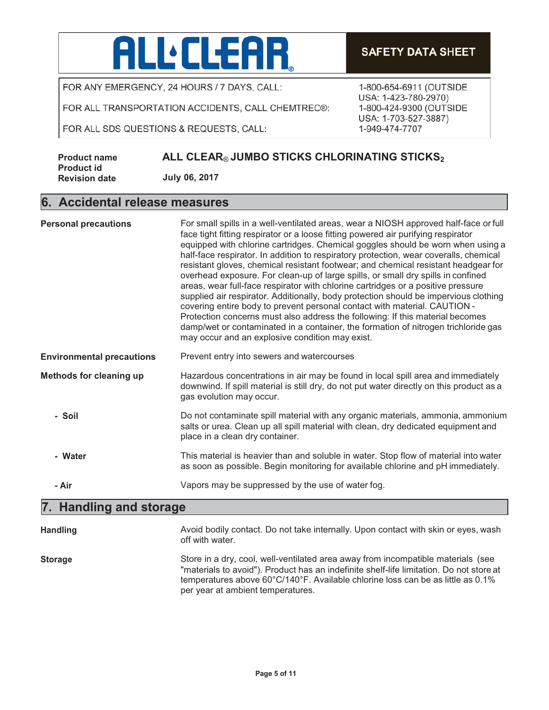

FOR ALL TRANSPORTATION ACCIDENTS, CALL CHEMTREC®:

FOR ALL SDS QUESTIONS & REQUESTS, CALL:

## **SAFETY DATA SHEET**

1-800-654-6911 (OUTSIDE USA: 1-423-780-2970) 1-800-424-9300 (OUTSIDE USA: 1-703-527-3887) 1-949-474-7707

| <b>Product name</b>  | ALL CLEAR® JUMBO STICKS CHLORINATING STICKS <sub>2</sub> |
|----------------------|----------------------------------------------------------|
| <b>Product id</b>    |                                                          |
| <b>Revision date</b> | July 06, 2017                                            |

#### **6. Accidental release measures**

| <b>Personal precautions</b>      | For small spills in a well-ventilated areas, wear a NIOSH approved half-face or full<br>face tight fitting respirator or a loose fitting powered air purifying respirator<br>equipped with chlorine cartridges. Chemical goggles should be worn when using a<br>half-face respirator. In addition to respiratory protection, wear coveralls, chemical<br>resistant gloves, chemical resistant footwear; and chemical resistant headgear for<br>overhead exposure. For clean-up of large spills, or small dry spills in confined<br>areas, wear full-face respirator with chlorine cartridges or a positive pressure<br>supplied air respirator. Additionally, body protection should be impervious clothing<br>covering entire body to prevent personal contact with material. CAUTION -<br>Protection concerns must also address the following: If this material becomes<br>damp/wet or contaminated in a container, the formation of nitrogen trichloride gas<br>may occur and an explosive condition may exist. |
|----------------------------------|--------------------------------------------------------------------------------------------------------------------------------------------------------------------------------------------------------------------------------------------------------------------------------------------------------------------------------------------------------------------------------------------------------------------------------------------------------------------------------------------------------------------------------------------------------------------------------------------------------------------------------------------------------------------------------------------------------------------------------------------------------------------------------------------------------------------------------------------------------------------------------------------------------------------------------------------------------------------------------------------------------------------|
| <b>Environmental precautions</b> | Prevent entry into sewers and watercourses                                                                                                                                                                                                                                                                                                                                                                                                                                                                                                                                                                                                                                                                                                                                                                                                                                                                                                                                                                         |
| <b>Methods for cleaning up</b>   | Hazardous concentrations in air may be found in local spill area and immediately<br>downwind. If spill material is still dry, do not put water directly on this product as a<br>gas evolution may occur.                                                                                                                                                                                                                                                                                                                                                                                                                                                                                                                                                                                                                                                                                                                                                                                                           |
| - Soil                           | Do not contaminate spill material with any organic materials, ammonia, ammonium<br>salts or urea. Clean up all spill material with clean, dry dedicated equipment and<br>place in a clean dry container.                                                                                                                                                                                                                                                                                                                                                                                                                                                                                                                                                                                                                                                                                                                                                                                                           |
| - Water                          | This material is heavier than and soluble in water. Stop flow of material into water<br>as soon as possible. Begin monitoring for available chlorine and pH immediately.                                                                                                                                                                                                                                                                                                                                                                                                                                                                                                                                                                                                                                                                                                                                                                                                                                           |
| - Air                            | Vapors may be suppressed by the use of water fog.                                                                                                                                                                                                                                                                                                                                                                                                                                                                                                                                                                                                                                                                                                                                                                                                                                                                                                                                                                  |

# **7. Handling and storage**

| <b>Handling</b> | Avoid bodily contact. Do not take internally. Upon contact with skin or eyes, wash<br>off with water.                                                                                                                                                                                               |
|-----------------|-----------------------------------------------------------------------------------------------------------------------------------------------------------------------------------------------------------------------------------------------------------------------------------------------------|
| <b>Storage</b>  | Store in a dry, cool, well-ventilated area away from incompatible materials (see<br>"materials to avoid"). Product has an indefinite shelf-life limitation. Do not store at<br>temperatures above 60°C/140°F. Available chlorine loss can be as little as 0.1%<br>per year at ambient temperatures. |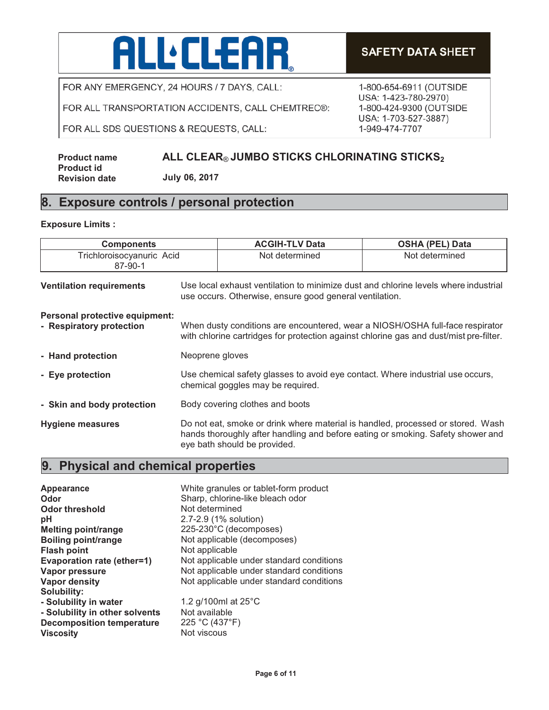

FOR ALL TRANSPORTATION ACCIDENTS, CALL CHEMTREC®:

FOR ALL SDS QUESTIONS & REQUESTS, CALL:

#### **ALL CLEAR® JUMBO STICKS CHLORINATING STICKS2**

**July 06, 2017**

## **8. Exposure controls / personal protection**

#### **Exposure Limits :**

**Product name Product id Revision date**

| <b>Components</b>                                          |                                                                                                                                                                                                    | <b>ACGIH-TLV Data</b> | <b>OSHA (PEL) Data</b> |
|------------------------------------------------------------|----------------------------------------------------------------------------------------------------------------------------------------------------------------------------------------------------|-----------------------|------------------------|
| Trichloroisocyanuric Acid<br>87-90-1                       |                                                                                                                                                                                                    | Not determined        | Not determined         |
| <b>Ventilation requirements</b>                            | Use local exhaust ventilation to minimize dust and chlorine levels where industrial<br>use occurs. Otherwise, ensure good general ventilation.                                                     |                       |                        |
| Personal protective equipment:<br>- Respiratory protection | When dusty conditions are encountered, wear a NIOSH/OSHA full-face respirator<br>with chlorine cartridges for protection against chlorine gas and dust/mist pre-filter.                            |                       |                        |
| - Hand protection                                          | Neoprene gloves                                                                                                                                                                                    |                       |                        |
| - Eye protection                                           | Use chemical safety glasses to avoid eye contact. Where industrial use occurs,<br>chemical goggles may be required.                                                                                |                       |                        |
| - Skin and body protection                                 | Body covering clothes and boots                                                                                                                                                                    |                       |                        |
| Hygiene measures                                           | Do not eat, smoke or drink where material is handled, processed or stored. Wash<br>hands thoroughly after handling and before eating or smoking. Safety shower and<br>eye bath should be provided. |                       |                        |

# **9. Physical and chemical properties**

| <b>Appearance</b>                | White granules or tablet-form product    |
|----------------------------------|------------------------------------------|
| Odor                             | Sharp, chlorine-like bleach odor         |
| <b>Odor threshold</b>            | Not determined                           |
| рH                               | 2.7-2.9 (1% solution)                    |
| <b>Melting point/range</b>       | 225-230°C (decomposes)                   |
| <b>Boiling point/range</b>       | Not applicable (decomposes)              |
| <b>Flash point</b>               | Not applicable                           |
| Evaporation rate (ether=1)       | Not applicable under standard conditions |
| <b>Vapor pressure</b>            | Not applicable under standard conditions |
| Vapor density                    | Not applicable under standard conditions |
| Solubility:                      |                                          |
| - Solubility in water            | 1.2 g/100ml at $25^{\circ}$ C            |
| - Solubility in other solvents   | Not available                            |
| <b>Decomposition temperature</b> | 225 °C (437°F)                           |
| <b>Viscosity</b>                 | Not viscous                              |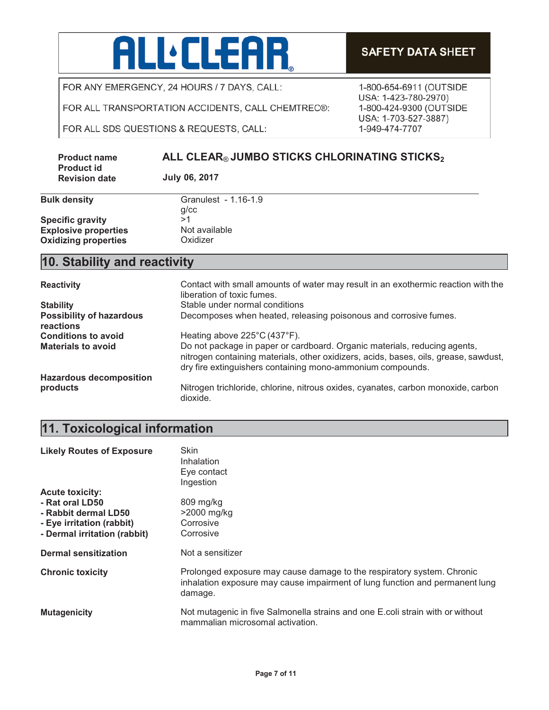

**SAFETY DATA SHEET** 

1-800-654-6911 (OUTSIDE USA: 1-423-780-2970)

1-800-424-9300 (OUTSIDE USA: 1-703-527-3887)

1-949-474-7707

FOR ANY EMERGENCY, 24 HOURS / 7 DAYS, CALL:

FOR ALL TRANSPORTATION ACCIDENTS, CALL CHEMTREC®:

FOR ALL SDS QUESTIONS & REQUESTS, CALL:

| <b>Product name</b>                       | ALL CLEAR® JUMBO STICKS CHLORINATING STICKS <sub>2</sub> |
|-------------------------------------------|----------------------------------------------------------|
| <b>Product id</b><br><b>Revision date</b> | July 06, 2017                                            |

|                             | q/c |
|-----------------------------|-----|
| <b>Specific gravity</b>     | >1  |
| <b>Explosive properties</b> | Nc  |
| <b>Oxidizing properties</b> | Oх  |

# **Bulk density** Granulest - 1.16-1.9 g/cc **Not available**<br>Oxidizer

## **10. Stability and reactivity**

| <b>Reactivity</b>                            | Contact with small amounts of water may result in an exothermic reaction with the<br>liberation of toxic fumes.                                                                                                                 |
|----------------------------------------------|---------------------------------------------------------------------------------------------------------------------------------------------------------------------------------------------------------------------------------|
| <b>Stability</b>                             | Stable under normal conditions                                                                                                                                                                                                  |
| <b>Possibility of hazardous</b><br>reactions | Decomposes when heated, releasing poisonous and corrosive fumes.                                                                                                                                                                |
| <b>Conditions to avoid</b>                   | Heating above 225°C (437°F).                                                                                                                                                                                                    |
| <b>Materials to avoid</b>                    | Do not package in paper or cardboard. Organic materials, reducing agents,<br>nitrogen containing materials, other oxidizers, acids, bases, oils, grease, sawdust,<br>dry fire extinguishers containing mono-ammonium compounds. |
| <b>Hazardous decomposition</b>               |                                                                                                                                                                                                                                 |
| products                                     | Nitrogen trichloride, chlorine, nitrous oxides, cyanates, carbon monoxide, carbon<br>dioxide.                                                                                                                                   |

# **11. Toxicological information**

| <b>Likely Routes of Exposure</b> | Skin<br><b>Inhalation</b><br>Eye contact<br>Ingestion                                                                                                             |
|----------------------------------|-------------------------------------------------------------------------------------------------------------------------------------------------------------------|
| <b>Acute toxicity:</b>           |                                                                                                                                                                   |
| - Rat oral LD50                  | 809 mg/kg                                                                                                                                                         |
| - Rabbit dermal LD50             | $>2000$ mg/kg                                                                                                                                                     |
| - Eye irritation (rabbit)        | Corrosive                                                                                                                                                         |
| - Dermal irritation (rabbit)     | Corrosive                                                                                                                                                         |
| <b>Dermal sensitization</b>      | Not a sensitizer                                                                                                                                                  |
| <b>Chronic toxicity</b>          | Prolonged exposure may cause damage to the respiratory system. Chronic<br>inhalation exposure may cause impairment of lung function and permanent lung<br>damage. |
| <b>Mutagenicity</b>              | Not mutagenic in five Salmonella strains and one E.coli strain with or without<br>mammalian microsomal activation.                                                |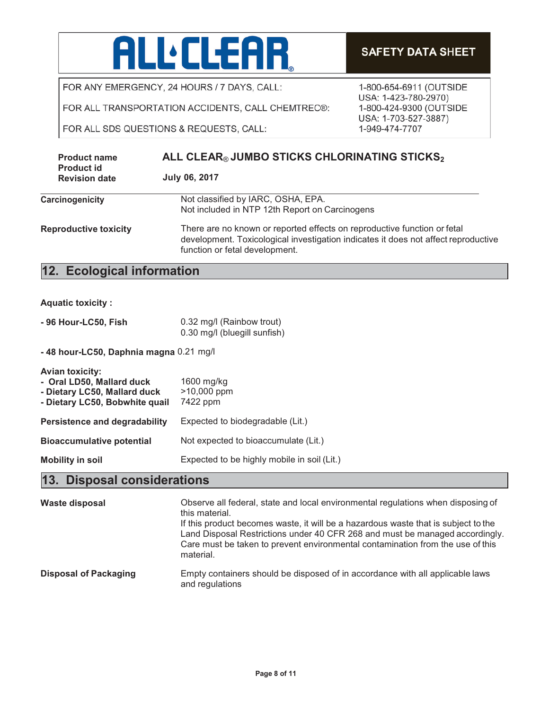

FOR ALL TRANSPORTATION ACCIDENTS, CALL CHEMTREC®:

FOR ALL SDS QUESTIONS & REQUESTS, CALL:

| <b>Product name</b><br><b>Product id</b> | ALL CLEAR® JUMBO STICKS CHLORINATING STICKS2<br><b>July 06, 2017</b>                                                                                                                             |  |
|------------------------------------------|--------------------------------------------------------------------------------------------------------------------------------------------------------------------------------------------------|--|
| <b>Revision date</b>                     |                                                                                                                                                                                                  |  |
| <b>Carcinogenicity</b>                   | Not classified by IARC, OSHA, EPA.                                                                                                                                                               |  |
|                                          | Not included in NTP 12th Report on Carcinogens                                                                                                                                                   |  |
| <b>Reproductive toxicity</b>             | There are no known or reported effects on reproductive function or fetal<br>development. Toxicological investigation indicates it does not affect reproductive<br>function or fetal development. |  |

# **12. Ecological information**

|  | <b>Aquatic toxicity:</b> |  |
|--|--------------------------|--|
|  |                          |  |
|  |                          |  |
|  |                          |  |

| - 96 Hour-LC50, Fish | 0.32 mg/l (Rainbow trout)    |
|----------------------|------------------------------|
|                      | 0.30 mg/l (bluegill sunfish) |

**- 48 hour-LC50, Daphnia magna** 0.21 mg/l

| Avian toxicity:<br>- Oral LD50, Mallard duck<br>- Dietary LC50, Mallard duck<br>- Dietary LC50, Bobwhite quail | 1600 mg/kg<br>>10,000 ppm<br>7422 ppm       |
|----------------------------------------------------------------------------------------------------------------|---------------------------------------------|
| <b>Persistence and degradability</b>                                                                           | Expected to biodegradable (Lit.)            |
| <b>Bioaccumulative potential</b>                                                                               | Not expected to bioaccumulate (Lit.)        |
| <b>Mobility in soil</b>                                                                                        | Expected to be highly mobile in soil (Lit.) |

# **13. Disposal considerations**

| Waste disposal               | Observe all federal, state and local environmental regulations when disposing of<br>this material.<br>If this product becomes waste, it will be a hazardous waste that is subject to the<br>Land Disposal Restrictions under 40 CFR 268 and must be managed accordingly.<br>Care must be taken to prevent environmental contamination from the use of this<br>material. |
|------------------------------|-------------------------------------------------------------------------------------------------------------------------------------------------------------------------------------------------------------------------------------------------------------------------------------------------------------------------------------------------------------------------|
| <b>Disposal of Packaging</b> | Empty containers should be disposed of in accordance with all applicable laws<br>and regulations                                                                                                                                                                                                                                                                        |

#### **SAFETY DATA SHEET**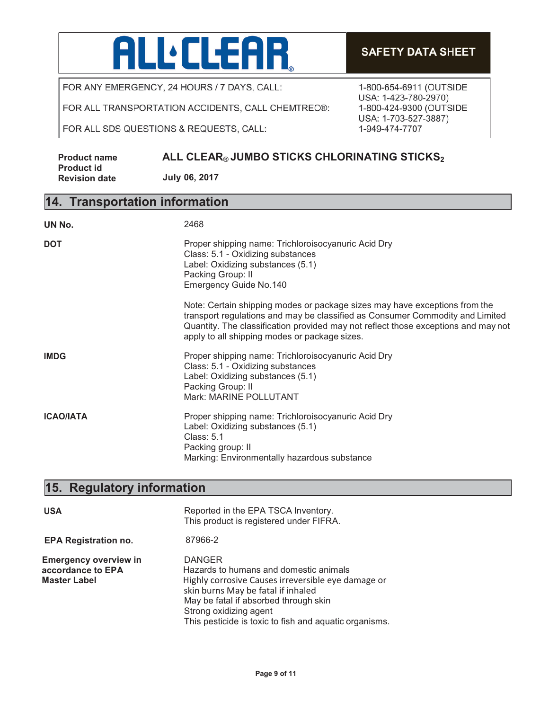

FOR ALL TRANSPORTATION ACCIDENTS, CALL CHEMTREC®:

FOR ALL SDS QUESTIONS & REQUESTS, CALL:

#### **SAFETY DATA SHEET**

1-800-654-6911 (OUTSIDE USA: 1-423-780-2970) 1-800-424-9300 (OUTSIDE USA: 1-703-527-3887) 1-949-474-7707

#### **Product name Product id Revision date ALL CLEAR® JUMBO STICKS CHLORINATING STICKS2 July 06, 2017**

#### **14. Transportation information**

| UN No.           | 2468                                                                                                                                                                                                                                                                                               |
|------------------|----------------------------------------------------------------------------------------------------------------------------------------------------------------------------------------------------------------------------------------------------------------------------------------------------|
| <b>DOT</b>       | Proper shipping name: Trichloroisocyanuric Acid Dry<br>Class: 5.1 - Oxidizing substances<br>Label: Oxidizing substances (5.1)<br>Packing Group: II<br>Emergency Guide No.140                                                                                                                       |
|                  | Note: Certain shipping modes or package sizes may have exceptions from the<br>transport regulations and may be classified as Consumer Commodity and Limited<br>Quantity. The classification provided may not reflect those exceptions and may not<br>apply to all shipping modes or package sizes. |
| <b>IMDG</b>      | Proper shipping name: Trichloroisocyanuric Acid Dry<br>Class: 5.1 - Oxidizing substances<br>Label: Oxidizing substances (5.1)<br>Packing Group: II<br>Mark: MARINE POLLUTANT                                                                                                                       |
| <b>ICAO/IATA</b> | Proper shipping name: Trichloroisocyanuric Acid Dry<br>Label: Oxidizing substances (5.1)<br>Class: 5.1<br>Packing group: II<br>Marking: Environmentally hazardous substance                                                                                                                        |

# **15. Regulatory information**

| <b>USA</b>                                                               | Reported in the EPA TSCA Inventory.<br>This product is registered under FIFRA.                                                                                                                                                                                                   |
|--------------------------------------------------------------------------|----------------------------------------------------------------------------------------------------------------------------------------------------------------------------------------------------------------------------------------------------------------------------------|
| <b>EPA Registration no.</b>                                              | 87966-2                                                                                                                                                                                                                                                                          |
| <b>Emergency overview in</b><br>accordance to EPA<br><b>Master Label</b> | <b>DANGER</b><br>Hazards to humans and domestic animals<br>Highly corrosive Causes irreversible eye damage or<br>skin burns May be fatal if inhaled<br>May be fatal if absorbed through skin<br>Strong oxidizing agent<br>This pesticide is toxic to fish and aquatic organisms. |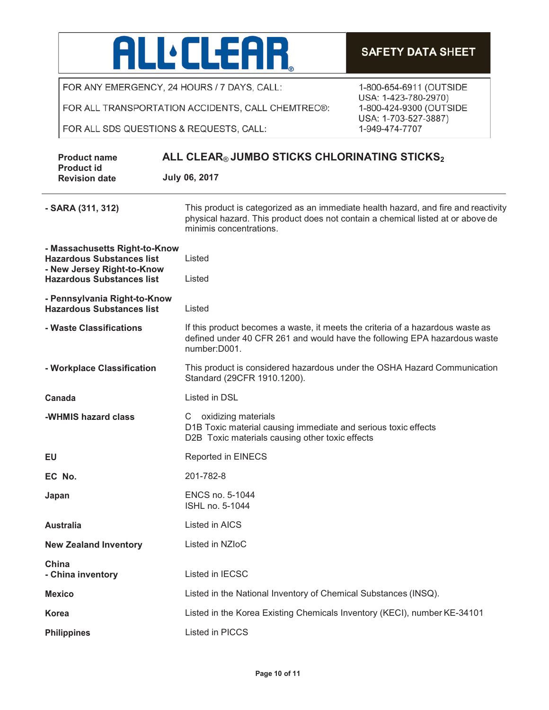

FOR ALL TRANSPORTATION ACCIDENTS, CALL CHEMTREC®:

FOR ALL SDS QUESTIONS & REQUESTS, CALL:

| <b>Product name</b>                                                                                                                 | ALL CLEAR® JUMBO STICKS CHLORINATING STICKS $_2$                                                                                                                                                 |
|-------------------------------------------------------------------------------------------------------------------------------------|--------------------------------------------------------------------------------------------------------------------------------------------------------------------------------------------------|
| <b>Product id</b><br><b>Revision date</b>                                                                                           | <b>July 06, 2017</b>                                                                                                                                                                             |
| - SARA (311, 312)                                                                                                                   | This product is categorized as an immediate health hazard, and fire and reactivity<br>physical hazard. This product does not contain a chemical listed at or above de<br>minimis concentrations. |
| - Massachusetts Right-to-Know<br><b>Hazardous Substances list</b><br>- New Jersey Right-to-Know<br><b>Hazardous Substances list</b> | Listed<br>Listed                                                                                                                                                                                 |
| - Pennsylvania Right-to-Know<br><b>Hazardous Substances list</b>                                                                    | Listed                                                                                                                                                                                           |
| - Waste Classifications                                                                                                             | If this product becomes a waste, it meets the criteria of a hazardous waste as<br>defined under 40 CFR 261 and would have the following EPA hazardous waste<br>number:D001.                      |
| - Workplace Classification                                                                                                          | This product is considered hazardous under the OSHA Hazard Communication<br>Standard (29CFR 1910.1200).                                                                                          |
| Canada                                                                                                                              | Listed in DSL                                                                                                                                                                                    |
| -WHMIS hazard class                                                                                                                 | oxidizing materials<br>$\mathsf{C}$<br>D1B Toxic material causing immediate and serious toxic effects<br>D2B Toxic materials causing other toxic effects                                         |
| EU                                                                                                                                  | Reported in EINECS                                                                                                                                                                               |
| EC No.                                                                                                                              | 201-782-8                                                                                                                                                                                        |
| Japan                                                                                                                               | ENCS no. 5-1044<br>ISHL no. 5-1044                                                                                                                                                               |
| <b>Australia</b>                                                                                                                    | <b>Listed in AICS</b>                                                                                                                                                                            |
| <b>New Zealand Inventory</b>                                                                                                        | Listed in NZIoC                                                                                                                                                                                  |
| China<br>- China inventory                                                                                                          | Listed in IECSC                                                                                                                                                                                  |
| <b>Mexico</b>                                                                                                                       | Listed in the National Inventory of Chemical Substances (INSQ).                                                                                                                                  |
| Korea                                                                                                                               | Listed in the Korea Existing Chemicals Inventory (KECI), number KE-34101                                                                                                                         |
| <b>Philippines</b>                                                                                                                  | Listed in PICCS                                                                                                                                                                                  |